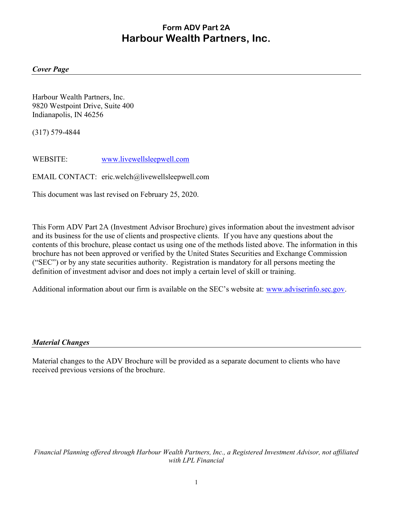# Form ADV Part 2A Harbour Wealth Partners, Inc.

#### Cover Page

Harbour Wealth Partners, Inc. 9820 Westpoint Drive, Suite 400 Indianapolis, IN 46256

(317) 579-4844

WEBSITE: www.livewellsleepwell.com

EMAIL CONTACT: eric.welch@livewellsleepwell.com

This document was last revised on February 25, 2020.

This Form ADV Part 2A (Investment Advisor Brochure) gives information about the investment advisor and its business for the use of clients and prospective clients. If you have any questions about the contents of this brochure, please contact us using one of the methods listed above. The information in this brochure has not been approved or verified by the United States Securities and Exchange Commission ("SEC") or by any state securities authority. Registration is mandatory for all persons meeting the definition of investment advisor and does not imply a certain level of skill or training.

Additional information about our firm is available on the SEC's website at: www.adviserinfo.sec.gov.

#### Material Changes

Material changes to the ADV Brochure will be provided as a separate document to clients who have received previous versions of the brochure.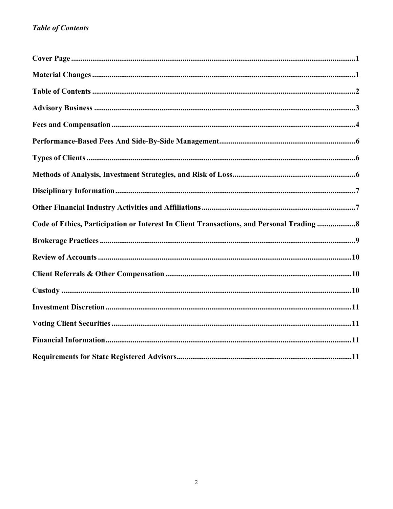# **Table of Contents**

| Code of Ethics, Participation or Interest In Client Transactions, and Personal Trading  8 |
|-------------------------------------------------------------------------------------------|
|                                                                                           |
|                                                                                           |
|                                                                                           |
|                                                                                           |
|                                                                                           |
|                                                                                           |
|                                                                                           |
|                                                                                           |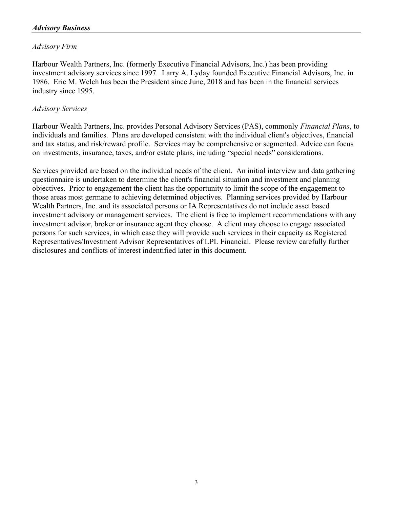## Advisory Firm

Harbour Wealth Partners, Inc. (formerly Executive Financial Advisors, Inc.) has been providing investment advisory services since 1997. Larry A. Lyday founded Executive Financial Advisors, Inc. in 1986. Eric M. Welch has been the President since June, 2018 and has been in the financial services industry since 1995.

#### Advisory Services

Harbour Wealth Partners, Inc. provides Personal Advisory Services (PAS), commonly Financial Plans, to individuals and families. Plans are developed consistent with the individual client's objectives, financial and tax status, and risk/reward profile. Services may be comprehensive or segmented. Advice can focus on investments, insurance, taxes, and/or estate plans, including "special needs" considerations.

Services provided are based on the individual needs of the client. An initial interview and data gathering questionnaire is undertaken to determine the client's financial situation and investment and planning objectives. Prior to engagement the client has the opportunity to limit the scope of the engagement to those areas most germane to achieving determined objectives. Planning services provided by Harbour Wealth Partners, Inc. and its associated persons or IA Representatives do not include asset based investment advisory or management services. The client is free to implement recommendations with any investment advisor, broker or insurance agent they choose. A client may choose to engage associated persons for such services, in which case they will provide such services in their capacity as Registered Representatives/Investment Advisor Representatives of LPL Financial. Please review carefully further disclosures and conflicts of interest indentified later in this document.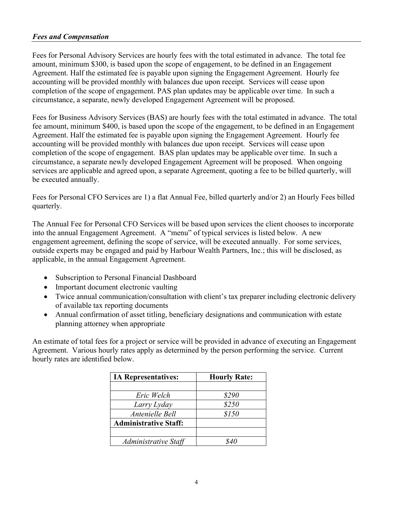#### Fees and Compensation

Fees for Personal Advisory Services are hourly fees with the total estimated in advance. The total fee amount, minimum \$300, is based upon the scope of engagement, to be defined in an Engagement Agreement. Half the estimated fee is payable upon signing the Engagement Agreement. Hourly fee accounting will be provided monthly with balances due upon receipt. Services will cease upon completion of the scope of engagement. PAS plan updates may be applicable over time. In such a circumstance, a separate, newly developed Engagement Agreement will be proposed.

Fees for Business Advisory Services (BAS) are hourly fees with the total estimated in advance. The total fee amount, minimum \$400, is based upon the scope of the engagement, to be defined in an Engagement Agreement. Half the estimated fee is payable upon signing the Engagement Agreement. Hourly fee accounting will be provided monthly with balances due upon receipt. Services will cease upon completion of the scope of engagement. BAS plan updates may be applicable over time. In such a circumstance, a separate newly developed Engagement Agreement will be proposed. When ongoing services are applicable and agreed upon, a separate Agreement, quoting a fee to be billed quarterly, will be executed annually.

Fees for Personal CFO Services are 1) a flat Annual Fee, billed quarterly and/or 2) an Hourly Fees billed quarterly.

The Annual Fee for Personal CFO Services will be based upon services the client chooses to incorporate into the annual Engagement Agreement. A "menu" of typical services is listed below. A new engagement agreement, defining the scope of service, will be executed annually. For some services, outside experts may be engaged and paid by Harbour Wealth Partners, Inc.; this will be disclosed, as applicable, in the annual Engagement Agreement.

- Subscription to Personal Financial Dashboard
- Important document electronic vaulting
- Twice annual communication/consultation with client's tax preparer including electronic delivery of available tax reporting documents
- Annual confirmation of asset titling, beneficiary designations and communication with estate planning attorney when appropriate

An estimate of total fees for a project or service will be provided in advance of executing an Engagement Agreement. Various hourly rates apply as determined by the person performing the service. Current hourly rates are identified below.

| <b>IA Representatives:</b>   | <b>Hourly Rate:</b> |
|------------------------------|---------------------|
|                              |                     |
| Eric Welch                   | \$290               |
| Larry Lyday                  | \$250               |
| Antenielle Bell              | \$150               |
| <b>Administrative Staff:</b> |                     |
|                              |                     |
| Administrative Staff         | 840                 |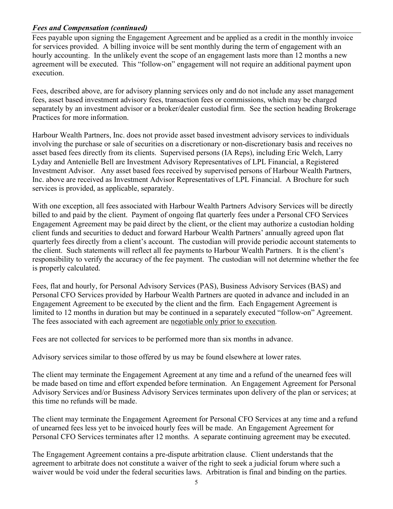# Fees and Compensation (continued)

Fees payable upon signing the Engagement Agreement and be applied as a credit in the monthly invoice for services provided. A billing invoice will be sent monthly during the term of engagement with an hourly accounting. In the unlikely event the scope of an engagement lasts more than 12 months a new agreement will be executed. This "follow-on" engagement will not require an additional payment upon execution.

Fees, described above, are for advisory planning services only and do not include any asset management fees, asset based investment advisory fees, transaction fees or commissions, which may be charged separately by an investment advisor or a broker/dealer custodial firm. See the section heading Brokerage Practices for more information.

Harbour Wealth Partners, Inc. does not provide asset based investment advisory services to individuals involving the purchase or sale of securities on a discretionary or non-discretionary basis and receives no asset based fees directly from its clients. Supervised persons (IA Reps), including Eric Welch, Larry Lyday and Antenielle Bell are Investment Advisory Representatives of LPL Financial, a Registered Investment Advisor. Any asset based fees received by supervised persons of Harbour Wealth Partners, Inc. above are received as Investment Advisor Representatives of LPL Financial. A Brochure for such services is provided, as applicable, separately.

With one exception, all fees associated with Harbour Wealth Partners Advisory Services will be directly billed to and paid by the client. Payment of ongoing flat quarterly fees under a Personal CFO Services Engagement Agreement may be paid direct by the client, or the client may authorize a custodian holding client funds and securities to deduct and forward Harbour Wealth Partners' annually agreed upon flat quarterly fees directly from a client's account. The custodian will provide periodic account statements to the client. Such statements will reflect all fee payments to Harbour Wealth Partners. It is the client's responsibility to verify the accuracy of the fee payment. The custodian will not determine whether the fee is properly calculated.

Fees, flat and hourly, for Personal Advisory Services (PAS), Business Advisory Services (BAS) and Personal CFO Services provided by Harbour Wealth Partners are quoted in advance and included in an Engagement Agreement to be executed by the client and the firm. Each Engagement Agreement is limited to 12 months in duration but may be continued in a separately executed "follow-on" Agreement. The fees associated with each agreement are negotiable only prior to execution.

Fees are not collected for services to be performed more than six months in advance.

Advisory services similar to those offered by us may be found elsewhere at lower rates.

The client may terminate the Engagement Agreement at any time and a refund of the unearned fees will be made based on time and effort expended before termination. An Engagement Agreement for Personal Advisory Services and/or Business Advisory Services terminates upon delivery of the plan or services; at this time no refunds will be made.

The client may terminate the Engagement Agreement for Personal CFO Services at any time and a refund of unearned fees less yet to be invoiced hourly fees will be made. An Engagement Agreement for Personal CFO Services terminates after 12 months. A separate continuing agreement may be executed.

The Engagement Agreement contains a pre-dispute arbitration clause. Client understands that the agreement to arbitrate does not constitute a waiver of the right to seek a judicial forum where such a waiver would be void under the federal securities laws. Arbitration is final and binding on the parties.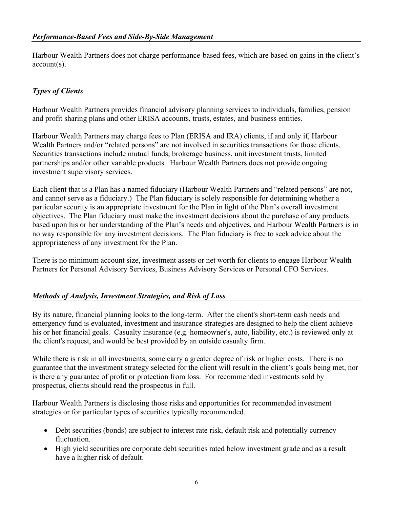Harbour Wealth Partners does not charge performance-based fees, which are based on gains in the client's account(s).

# Types of Clients

Harbour Wealth Partners provides financial advisory planning services to individuals, families, pension and profit sharing plans and other ERISA accounts, trusts, estates, and business entities.

Harbour Wealth Partners may charge fees to Plan (ERISA and IRA) clients, if and only if, Harbour Wealth Partners and/or "related persons" are not involved in securities transactions for those clients. Securities transactions include mutual funds, brokerage business, unit investment trusts, limited partnerships and/or other variable products. Harbour Wealth Partners does not provide ongoing investment supervisory services.

Each client that is a Plan has a named fiduciary (Harbour Wealth Partners and "related persons" are not, and cannot serve as a fiduciary.) The Plan fiduciary is solely responsible for determining whether a particular security is an appropriate investment for the Plan in light of the Plan's overall investment objectives. The Plan fiduciary must make the investment decisions about the purchase of any products based upon his or her understanding of the Plan's needs and objectives, and Harbour Wealth Partners is in no way responsible for any investment decisions. The Plan fiduciary is free to seek advice about the appropriateness of any investment for the Plan.

There is no minimum account size, investment assets or net worth for clients to engage Harbour Wealth Partners for Personal Advisory Services, Business Advisory Services or Personal CFO Services.

## Methods of Analysis, Investment Strategies, and Risk of Loss

By its nature, financial planning looks to the long-term. After the client's short-term cash needs and emergency fund is evaluated, investment and insurance strategies are designed to help the client achieve his or her financial goals. Casualty insurance (e.g. homeowner's, auto, liability, etc.) is reviewed only at the client's request, and would be best provided by an outside casualty firm.

While there is risk in all investments, some carry a greater degree of risk or higher costs. There is no guarantee that the investment strategy selected for the client will result in the client's goals being met, nor is there any guarantee of profit or protection from loss. For recommended investments sold by prospectus, clients should read the prospectus in full.

Harbour Wealth Partners is disclosing those risks and opportunities for recommended investment strategies or for particular types of securities typically recommended.

- Debt securities (bonds) are subject to interest rate risk, default risk and potentially currency fluctuation.
- High yield securities are corporate debt securities rated below investment grade and as a result have a higher risk of default.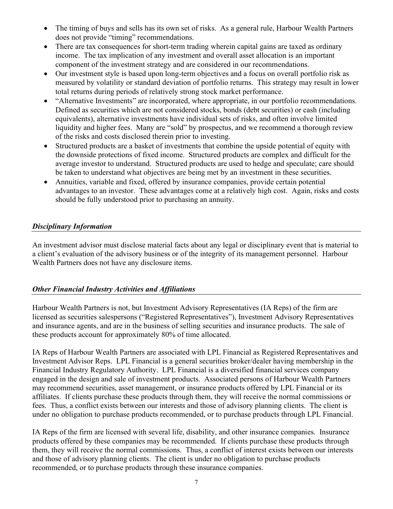- The timing of buys and sells has its own set of risks. As a general rule, Harbour Wealth Partners does not provide "timing" recommendations.
- There are tax consequences for short-term trading wherein capital gains are taxed as ordinary income. The tax implication of any investment and overall asset allocation is an important component of the investment strategy and are considered in our recommendations.
- Our investment style is based upon long-term objectives and a focus on overall portfolio risk as measured by volatility or standard deviation of portfolio returns. This strategy may result in lower total returns during periods of relatively strong stock market performance.
- "Alternative Investments" are incorporated, where appropriate, in our portfolio recommendations. Defined as securities which are not considered stocks, bonds (debt securities) or cash (including equivalents), alternative investments have individual sets of risks, and often involve limited liquidity and higher fees. Many are "sold" by prospectus, and we recommend a thorough review of the risks and costs disclosed therein prior to investing.
- Structured products are a basket of investments that combine the upside potential of equity with the downside protections of fixed income. Structured products are complex and difficult for the average investor to understand. Structured products are used to hedge and speculate; care should be taken to understand what objectives are being met by an investment in these securities.
- Annuities, variable and fixed, offered by insurance companies, provide certain potential advantages to an investor. These advantages come at a relatively high cost. Again, risks and costs should be fully understood prior to purchasing an annuity.

## Disciplinary Information

An investment advisor must disclose material facts about any legal or disciplinary event that is material to a client's evaluation of the advisory business or of the integrity of its management personnel. Harbour Wealth Partners does not have any disclosure items.

# Other Financial Industry Activities and Affiliations

Harbour Wealth Partners is not, but Investment Advisory Representatives (IA Reps) of the firm are licensed as securities salespersons ("Registered Representatives"), Investment Advisory Representatives and insurance agents, and are in the business of selling securities and insurance products. The sale of these products account for approximately 80% of time allocated.

IA Reps of Harbour Wealth Partners are associated with LPL Financial as Registered Representatives and Investment Advisor Reps. LPL Financial is a general securities broker/dealer having membership in the Financial Industry Regulatory Authority. LPL Financial is a diversified financial services company engaged in the design and sale of investment products. Associated persons of Harbour Wealth Partners may recommend securities, asset management, or insurance products offered by LPL Financial or its affiliates. If clients purchase these products through them, they will receive the normal commissions or fees. Thus, a conflict exists between our interests and those of advisory planning clients. The client is under no obligation to purchase products recommended, or to purchase products through LPL Financial.

IA Reps of the firm are licensed with several life, disability, and other insurance companies. Insurance products offered by these companies may be recommended. If clients purchase these products through them, they will receive the normal commissions. Thus, a conflict of interest exists between our interests and those of advisory planning clients. The client is under no obligation to purchase products recommended, or to purchase products through these insurance companies.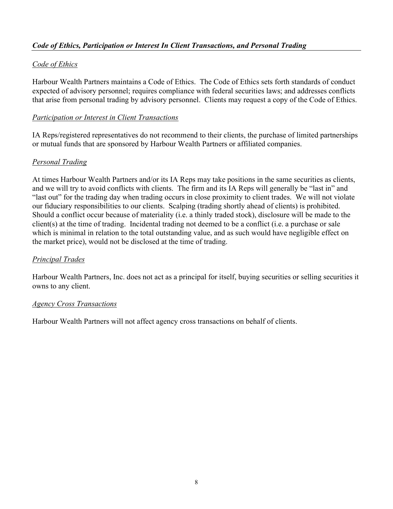# Code of Ethics, Participation or Interest In Client Transactions, and Personal Trading

## Code of Ethics

Harbour Wealth Partners maintains a Code of Ethics. The Code of Ethics sets forth standards of conduct expected of advisory personnel; requires compliance with federal securities laws; and addresses conflicts that arise from personal trading by advisory personnel. Clients may request a copy of the Code of Ethics.

#### Participation or Interest in Client Transactions

IA Reps/registered representatives do not recommend to their clients, the purchase of limited partnerships or mutual funds that are sponsored by Harbour Wealth Partners or affiliated companies.

## Personal Trading

At times Harbour Wealth Partners and/or its IA Reps may take positions in the same securities as clients, and we will try to avoid conflicts with clients. The firm and its IA Reps will generally be "last in" and "last out" for the trading day when trading occurs in close proximity to client trades. We will not violate our fiduciary responsibilities to our clients. Scalping (trading shortly ahead of clients) is prohibited. Should a conflict occur because of materiality (i.e. a thinly traded stock), disclosure will be made to the client(s) at the time of trading. Incidental trading not deemed to be a conflict (i.e. a purchase or sale which is minimal in relation to the total outstanding value, and as such would have negligible effect on the market price), would not be disclosed at the time of trading.

#### Principal Trades

Harbour Wealth Partners, Inc. does not act as a principal for itself, buying securities or selling securities it owns to any client.

#### Agency Cross Transactions

Harbour Wealth Partners will not affect agency cross transactions on behalf of clients.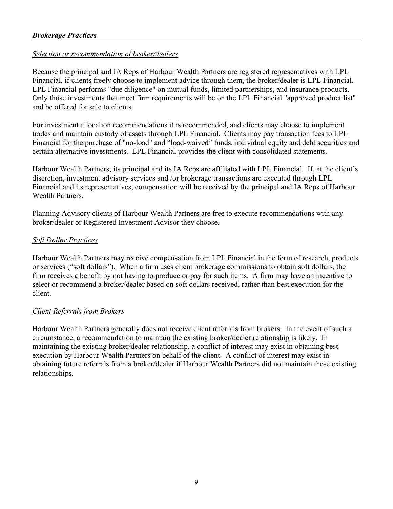## Selection or recommendation of broker/dealers

Because the principal and IA Reps of Harbour Wealth Partners are registered representatives with LPL Financial, if clients freely choose to implement advice through them, the broker/dealer is LPL Financial. LPL Financial performs "due diligence" on mutual funds, limited partnerships, and insurance products. Only those investments that meet firm requirements will be on the LPL Financial "approved product list" and be offered for sale to clients.

For investment allocation recommendations it is recommended, and clients may choose to implement trades and maintain custody of assets through LPL Financial. Clients may pay transaction fees to LPL Financial for the purchase of "no-load" and "load-waived" funds, individual equity and debt securities and certain alternative investments. LPL Financial provides the client with consolidated statements.

Harbour Wealth Partners, its principal and its IA Reps are affiliated with LPL Financial. If, at the client's discretion, investment advisory services and /or brokerage transactions are executed through LPL Financial and its representatives, compensation will be received by the principal and IA Reps of Harbour Wealth Partners.

Planning Advisory clients of Harbour Wealth Partners are free to execute recommendations with any broker/dealer or Registered Investment Advisor they choose.

## Soft Dollar Practices

Harbour Wealth Partners may receive compensation from LPL Financial in the form of research, products or services ("soft dollars"). When a firm uses client brokerage commissions to obtain soft dollars, the firm receives a benefit by not having to produce or pay for such items. A firm may have an incentive to select or recommend a broker/dealer based on soft dollars received, rather than best execution for the client.

## Client Referrals from Brokers

Harbour Wealth Partners generally does not receive client referrals from brokers. In the event of such a circumstance, a recommendation to maintain the existing broker/dealer relationship is likely. In maintaining the existing broker/dealer relationship, a conflict of interest may exist in obtaining best execution by Harbour Wealth Partners on behalf of the client. A conflict of interest may exist in obtaining future referrals from a broker/dealer if Harbour Wealth Partners did not maintain these existing relationships.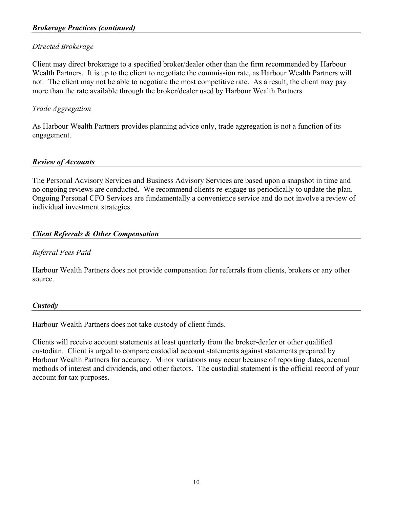#### Directed Brokerage

Client may direct brokerage to a specified broker/dealer other than the firm recommended by Harbour Wealth Partners. It is up to the client to negotiate the commission rate, as Harbour Wealth Partners will not. The client may not be able to negotiate the most competitive rate. As a result, the client may pay more than the rate available through the broker/dealer used by Harbour Wealth Partners.

## Trade Aggregation

As Harbour Wealth Partners provides planning advice only, trade aggregation is not a function of its engagement.

#### Review of Accounts

The Personal Advisory Services and Business Advisory Services are based upon a snapshot in time and no ongoing reviews are conducted. We recommend clients re-engage us periodically to update the plan. Ongoing Personal CFO Services are fundamentally a convenience service and do not involve a review of individual investment strategies.

## Client Referrals & Other Compensation

#### Referral Fees Paid

Harbour Wealth Partners does not provide compensation for referrals from clients, brokers or any other source.

#### **Custody**

Harbour Wealth Partners does not take custody of client funds.

Clients will receive account statements at least quarterly from the broker-dealer or other qualified custodian. Client is urged to compare custodial account statements against statements prepared by Harbour Wealth Partners for accuracy. Minor variations may occur because of reporting dates, accrual methods of interest and dividends, and other factors. The custodial statement is the official record of your account for tax purposes.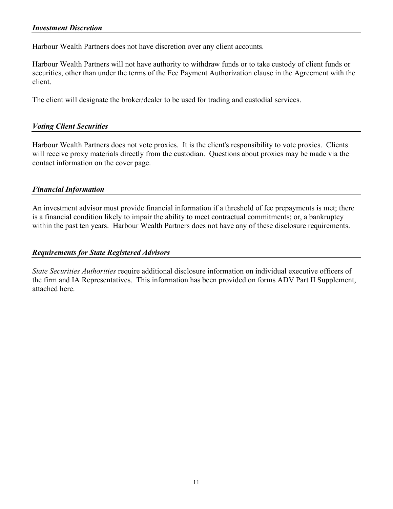Harbour Wealth Partners does not have discretion over any client accounts.

Harbour Wealth Partners will not have authority to withdraw funds or to take custody of client funds or securities, other than under the terms of the Fee Payment Authorization clause in the Agreement with the client.

The client will designate the broker/dealer to be used for trading and custodial services.

#### Voting Client Securities

Harbour Wealth Partners does not vote proxies. It is the client's responsibility to vote proxies. Clients will receive proxy materials directly from the custodian. Questions about proxies may be made via the contact information on the cover page.

#### Financial Information

An investment advisor must provide financial information if a threshold of fee prepayments is met; there is a financial condition likely to impair the ability to meet contractual commitments; or, a bankruptcy within the past ten years. Harbour Wealth Partners does not have any of these disclosure requirements.

#### Requirements for State Registered Advisors

State Securities Authorities require additional disclosure information on individual executive officers of the firm and IA Representatives. This information has been provided on forms ADV Part II Supplement, attached here.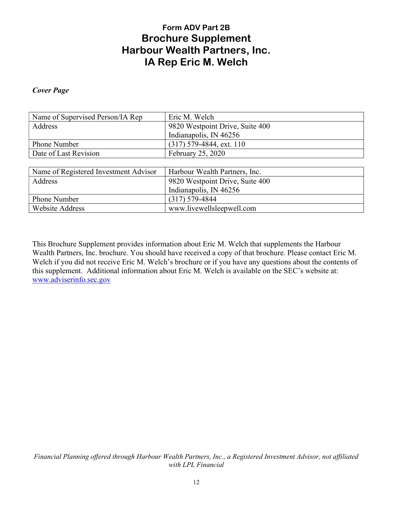# Form ADV Part 2B Brochure Supplement Harbour Wealth Partners, Inc. IA Rep Eric M. Welch

#### Cover Page

| Name of Supervised Person/IA Rep      | Eric M. Welch                   |
|---------------------------------------|---------------------------------|
| Address                               | 9820 Westpoint Drive, Suite 400 |
|                                       | Indianapolis, IN 46256          |
| Phone Number                          | $(317)$ 579-4844, ext. 110      |
| Date of Last Revision                 | February 25, 2020               |
|                                       |                                 |
| Name of Registered Investment Advisor | Harbour Wealth Partners, Inc.   |
| Address                               | 9820 Westpoint Drive, Suite 400 |
|                                       | Indianapolis, IN 46256          |
| Phone Number                          | $(317) 579 - 4844$              |
| <b>Website Address</b>                | www.livewellsleepwell.com       |

This Brochure Supplement provides information about Eric M. Welch that supplements the Harbour Wealth Partners, Inc. brochure. You should have received a copy of that brochure. Please contact Eric M. Welch if you did not receive Eric M. Welch's brochure or if you have any questions about the contents of this supplement. Additional information about Eric M. Welch is available on the SEC's website at: www.adviserinfo.sec.gov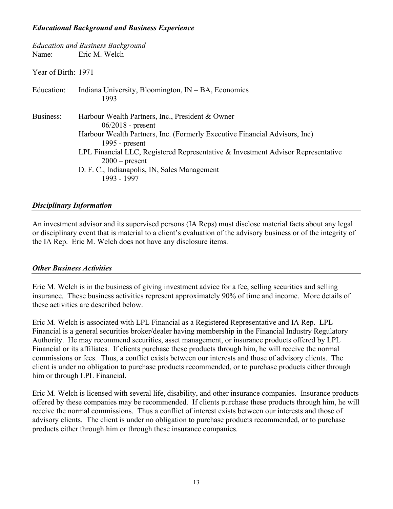#### Educational Background and Business Experience

|                     | <b>Education and Business Background</b>                                                                                                                                                                                                                                                                                                         |  |
|---------------------|--------------------------------------------------------------------------------------------------------------------------------------------------------------------------------------------------------------------------------------------------------------------------------------------------------------------------------------------------|--|
| Name:               | Eric M. Welch                                                                                                                                                                                                                                                                                                                                    |  |
| Year of Birth: 1971 |                                                                                                                                                                                                                                                                                                                                                  |  |
| Education:          | Indiana University, Bloomington, $IN - BA$ , Economics<br>1993                                                                                                                                                                                                                                                                                   |  |
| Business:           | Harbour Wealth Partners, Inc., President & Owner<br>$06/2018$ - present<br>Harbour Wealth Partners, Inc. (Formerly Executive Financial Advisors, Inc)<br>1995 - $present$<br>LPL Financial LLC, Registered Representative & Investment Advisor Representative<br>$2000$ – present<br>D. F. C., Indianapolis, IN, Sales Management<br>1993 - 1997 |  |

#### Disciplinary Information

An investment advisor and its supervised persons (IA Reps) must disclose material facts about any legal or disciplinary event that is material to a client's evaluation of the advisory business or of the integrity of the IA Rep. Eric M. Welch does not have any disclosure items.

#### Other Business Activities

Eric M. Welch is in the business of giving investment advice for a fee, selling securities and selling insurance. These business activities represent approximately 90% of time and income. More details of these activities are described below.

Eric M. Welch is associated with LPL Financial as a Registered Representative and IA Rep. LPL Financial is a general securities broker/dealer having membership in the Financial Industry Regulatory Authority. He may recommend securities, asset management, or insurance products offered by LPL Financial or its affiliates. If clients purchase these products through him, he will receive the normal commissions or fees. Thus, a conflict exists between our interests and those of advisory clients. The client is under no obligation to purchase products recommended, or to purchase products either through him or through LPL Financial.

Eric M. Welch is licensed with several life, disability, and other insurance companies. Insurance products offered by these companies may be recommended. If clients purchase these products through him, he will receive the normal commissions. Thus a conflict of interest exists between our interests and those of advisory clients. The client is under no obligation to purchase products recommended, or to purchase products either through him or through these insurance companies.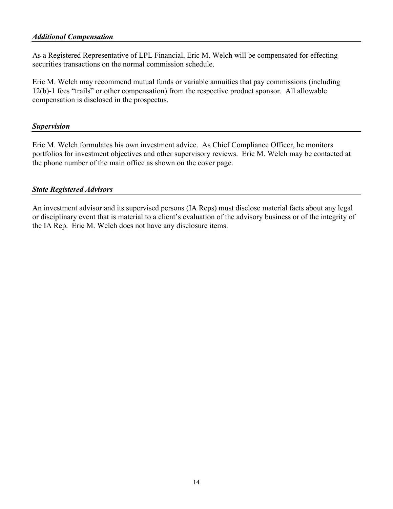#### Additional Compensation

As a Registered Representative of LPL Financial, Eric M. Welch will be compensated for effecting securities transactions on the normal commission schedule.

Eric M. Welch may recommend mutual funds or variable annuities that pay commissions (including 12(b)-1 fees "trails" or other compensation) from the respective product sponsor. All allowable compensation is disclosed in the prospectus.

#### Supervision

Eric M. Welch formulates his own investment advice. As Chief Compliance Officer, he monitors portfolios for investment objectives and other supervisory reviews. Eric M. Welch may be contacted at the phone number of the main office as shown on the cover page.

#### State Registered Advisors

An investment advisor and its supervised persons (IA Reps) must disclose material facts about any legal or disciplinary event that is material to a client's evaluation of the advisory business or of the integrity of the IA Rep. Eric M. Welch does not have any disclosure items.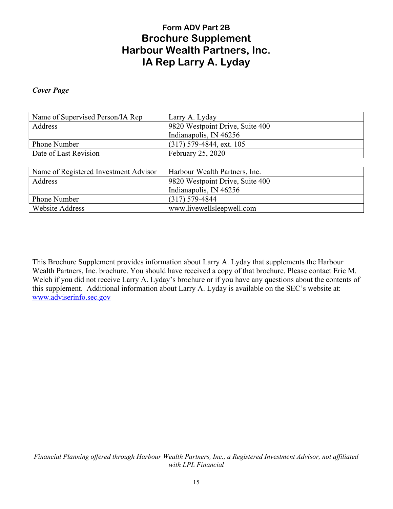# Form ADV Part 2B Brochure Supplement Harbour Wealth Partners, Inc. IA Rep Larry A. Lyday

#### Cover Page

| Name of Supervised Person/IA Rep      | Larry A. Lyday                  |
|---------------------------------------|---------------------------------|
| Address                               | 9820 Westpoint Drive, Suite 400 |
|                                       | Indianapolis, IN 46256          |
| Phone Number                          | $(317)$ 579-4844, ext. 105      |
| Date of Last Revision                 | February 25, 2020               |
|                                       |                                 |
| Name of Registered Investment Advisor | Harbour Wealth Partners, Inc.   |
| Address                               | 9820 Westpoint Drive, Suite 400 |
|                                       | Indianapolis, IN 46256          |
| Phone Number                          | $(317) 579 - 4844$              |
| <b>Website Address</b>                | www.livewellsleepwell.com       |

This Brochure Supplement provides information about Larry A. Lyday that supplements the Harbour Wealth Partners, Inc. brochure. You should have received a copy of that brochure. Please contact Eric M. Welch if you did not receive Larry A. Lyday's brochure or if you have any questions about the contents of this supplement. Additional information about Larry A. Lyday is available on the SEC's website at: www.adviserinfo.sec.gov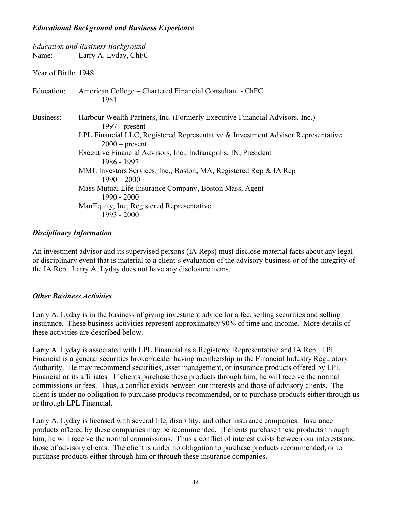|                     | <b>Education and Business Background</b>                                                                                                                                                                                                                                                                                                                                                                                                                                                                                |
|---------------------|-------------------------------------------------------------------------------------------------------------------------------------------------------------------------------------------------------------------------------------------------------------------------------------------------------------------------------------------------------------------------------------------------------------------------------------------------------------------------------------------------------------------------|
| Name:               | Larry A. Lyday, ChFC                                                                                                                                                                                                                                                                                                                                                                                                                                                                                                    |
| Year of Birth: 1948 |                                                                                                                                                                                                                                                                                                                                                                                                                                                                                                                         |
| Education:          | American College – Chartered Financial Consultant - ChFC<br>1981                                                                                                                                                                                                                                                                                                                                                                                                                                                        |
| Business:           | Harbour Wealth Partners, Inc. (Formerly Executive Financial Advisors, Inc.)<br>1997 - $present$<br>LPL Financial LLC, Registered Representative $\&$ Investment Advisor Representative<br>$2000$ – present<br>Executive Financial Advisors, Inc., Indianapolis, IN, President<br>1986 - 1997<br>MML Investors Services, Inc., Boston, MA, Registered Rep & IA Rep<br>$1990 - 2000$<br>Mass Mutual Life Insurance Company, Boston Mass, Agent<br>1990 - 2000<br>ManEquity, Inc, Registered Representative<br>1993 - 2000 |

#### Disciplinary Information

An investment advisor and its supervised persons (IA Reps) must disclose material facts about any legal or disciplinary event that is material to a client's evaluation of the advisory business or of the integrity of the IA Rep. Larry A. Lyday does not have any disclosure items.

#### **Other Business Activities**

Larry A. Lyday is in the business of giving investment advice for a fee, selling securities and selling insurance. These business activities represent approximately 90% of time and income. More details of these activities are described below.

Larry A. Lyday is associated with LPL Financial as a Registered Representative and IA Rep. LPL Financial is a general securities broker/dealer having membership in the Financial Industry Regulatory Authority. He may recommend securities, asset management, or insurance products offered by LPL Financial or its affiliates. If clients purchase these products through him, he will receive the normal commissions or fees. Thus, a conflict exists between our interests and those of advisory clients. The client is under no obligation to purchase products recommended, or to purchase products either through us or through LPL Financial.

Larry A. Lyday is licensed with several life, disability, and other insurance companies. Insurance products offered by these companies may be recommended. If clients purchase these products through him, he will receive the normal commissions. Thus a conflict of interest exists between our interests and those of advisory clients. The client is under no obligation to purchase products recommended, or to purchase products either through him or through these insurance companies.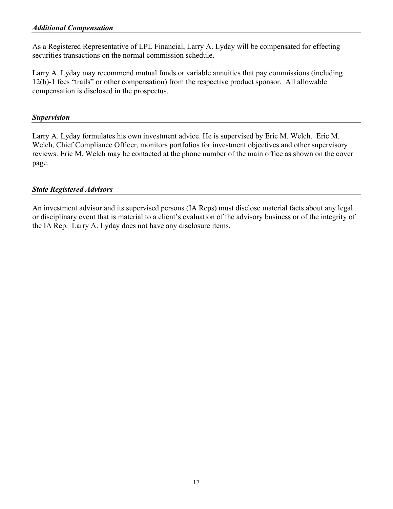As a Registered Representative of LPL Financial, Larry A. Lyday will be compensated for effecting securities transactions on the normal commission schedule.

Larry A. Lyday may recommend mutual funds or variable annuities that pay commissions (including 12(b)-1 fees "trails" or other compensation) from the respective product sponsor. All allowable compensation is disclosed in the prospectus.

## Supervision

Larry A. Lyday formulates his own investment advice. He is supervised by Eric M. Welch. Eric M. Welch, Chief Compliance Officer, monitors portfolios for investment objectives and other supervisory reviews. Eric M. Welch may be contacted at the phone number of the main office as shown on the cover page.

## State Registered Advisors

An investment advisor and its supervised persons (IA Reps) must disclose material facts about any legal or disciplinary event that is material to a client's evaluation of the advisory business or of the integrity of the IA Rep. Larry A. Lyday does not have any disclosure items.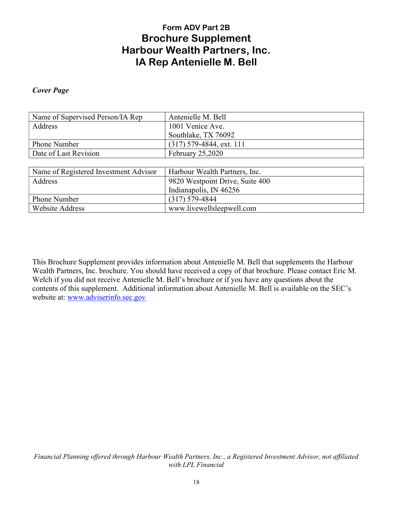# Form ADV Part 2B Brochure Supplement Harbour Wealth Partners, Inc. IA Rep Antenielle M. Bell

#### Cover Page

| Name of Supervised Person/IA Rep      | Antenielle M. Bell              |
|---------------------------------------|---------------------------------|
| Address                               | 1001 Venice Ave.                |
|                                       | Southlake, TX 76092             |
| Phone Number                          | $(317)$ 579-4844, ext. 111      |
| Date of Last Revision                 | February 25,2020                |
|                                       |                                 |
| Name of Registered Investment Advisor | Harbour Wealth Partners, Inc.   |
| Address                               | 9820 Westpoint Drive, Suite 400 |
|                                       | Indianapolis, IN 46256          |
| Phone Number                          | $(317) 579 - 4844$              |
| <b>Website Address</b>                | www.livewellsleepwell.com       |

This Brochure Supplement provides information about Antenielle M. Bell that supplements the Harbour Wealth Partners, Inc. brochure. You should have received a copy of that brochure. Please contact Eric M. Welch if you did not receive Antenielle M. Bell's brochure or if you have any questions about the contents of this supplement. Additional information about Antenielle M. Bell is available on the SEC's website at: www.adviserinfo.sec.gov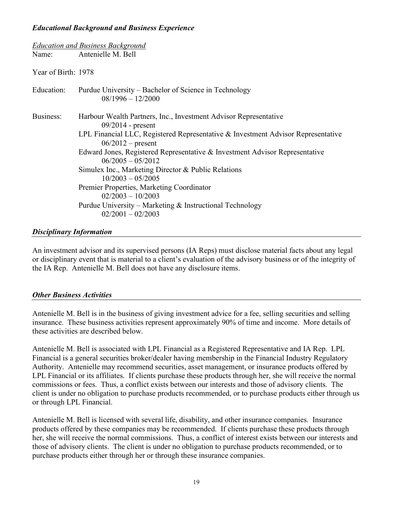#### Educational Background and Business Experience

|                     | <b>Education and Business Background</b>                                                                                                                                                                                                                                                                                                                                                                                                                                                                                                        |
|---------------------|-------------------------------------------------------------------------------------------------------------------------------------------------------------------------------------------------------------------------------------------------------------------------------------------------------------------------------------------------------------------------------------------------------------------------------------------------------------------------------------------------------------------------------------------------|
|                     | Name: Antenielle M. Bell                                                                                                                                                                                                                                                                                                                                                                                                                                                                                                                        |
| Year of Birth: 1978 |                                                                                                                                                                                                                                                                                                                                                                                                                                                                                                                                                 |
| Education:          | Purdue University – Bachelor of Science in Technology<br>$08/1996 - 12/2000$                                                                                                                                                                                                                                                                                                                                                                                                                                                                    |
| Business:           | Harbour Wealth Partners, Inc., Investment Advisor Representative<br>$09/2014$ - present<br>LPL Financial LLC, Registered Representative & Investment Advisor Representative<br>$06/2012$ – present<br>Edward Jones, Registered Representative & Investment Advisor Representative<br>$06/2005 - 05/2012$<br>Simulex Inc., Marketing Director & Public Relations<br>$10/2003 - 05/2005$<br>Premier Properties, Marketing Coordinator<br>$02/2003 - 10/2003$<br>Purdue University – Marketing $&$ Instructional Technology<br>$02/2001 - 02/2003$ |

#### Disciplinary Information

An investment advisor and its supervised persons (IA Reps) must disclose material facts about any legal or disciplinary event that is material to a client's evaluation of the advisory business or of the integrity of the IA Rep. Antenielle M. Bell does not have any disclosure items.

#### Other Business Activities

Antenielle M. Bell is in the business of giving investment advice for a fee, selling securities and selling insurance. These business activities represent approximately 90% of time and income. More details of these activities are described below.

Antenielle M. Bell is associated with LPL Financial as a Registered Representative and IA Rep. LPL Financial is a general securities broker/dealer having membership in the Financial Industry Regulatory Authority. Antenielle may recommend securities, asset management, or insurance products offered by LPL Financial or its affiliates. If clients purchase these products through her, she will receive the normal commissions or fees. Thus, a conflict exists between our interests and those of advisory clients. The client is under no obligation to purchase products recommended, or to purchase products either through us or through LPL Financial.

Antenielle M. Bell is licensed with several life, disability, and other insurance companies. Insurance products offered by these companies may be recommended. If clients purchase these products through her, she will receive the normal commissions. Thus, a conflict of interest exists between our interests and those of advisory clients. The client is under no obligation to purchase products recommended, or to purchase products either through her or through these insurance companies.